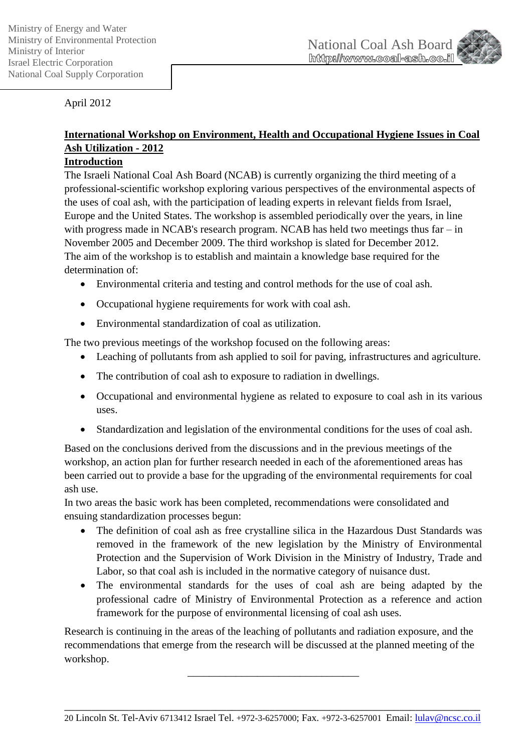

April 2012

# **International Workshop on Environment, Health and Occupational Hygiene Issues in Coal Ash Utilization - 2012**

## **Introduction**

The Israeli National Coal Ash Board (NCAB) is currently organizing the third meeting of a professional-scientific workshop exploring various perspectives of the environmental aspects of the uses of coal ash, with the participation of leading experts in relevant fields from Israel, Europe and the United States. The workshop is assembled periodically over the years, in line with progress made in NCAB's research program. NCAB has held two meetings thus far – in November 2005 and December 2009. The third workshop is slated for December 2012. The aim of the workshop is to establish and maintain a knowledge base required for the determination of:

- Environmental criteria and testing and control methods for the use of coal ash.
- Occupational hygiene requirements for work with coal ash.
- Environmental standardization of coal as utilization.

The two previous meetings of the workshop focused on the following areas:

- Leaching of pollutants from ash applied to soil for paving, infrastructures and agriculture.
- The contribution of coal ash to exposure to radiation in dwellings.
- Occupational and environmental hygiene as related to exposure to coal ash in its various uses.
- Standardization and legislation of the environmental conditions for the uses of coal ash.

Based on the conclusions derived from the discussions and in the previous meetings of the workshop, an action plan for further research needed in each of the aforementioned areas has been carried out to provide a base for the upgrading of the environmental requirements for coal ash use.

In two areas the basic work has been completed, recommendations were consolidated and ensuing standardization processes begun:

- The definition of coal ash as free crystalline silica in the Hazardous Dust Standards was removed in the framework of the new legislation by the Ministry of Environmental Protection and the Supervision of Work Division in the Ministry of Industry, Trade and Labor, so that coal ash is included in the normative category of nuisance dust.
- The environmental standards for the uses of coal ash are being adapted by the professional cadre of Ministry of Environmental Protection as a reference and action framework for the purpose of environmental licensing of coal ash uses.

Research is continuing in the areas of the leaching of pollutants and radiation exposure, and the recommendations that emerge from the research will be discussed at the planned meeting of the workshop.

\_\_\_\_\_\_\_\_\_\_\_\_\_\_\_\_\_\_\_\_\_\_\_\_\_\_\_\_\_\_\_\_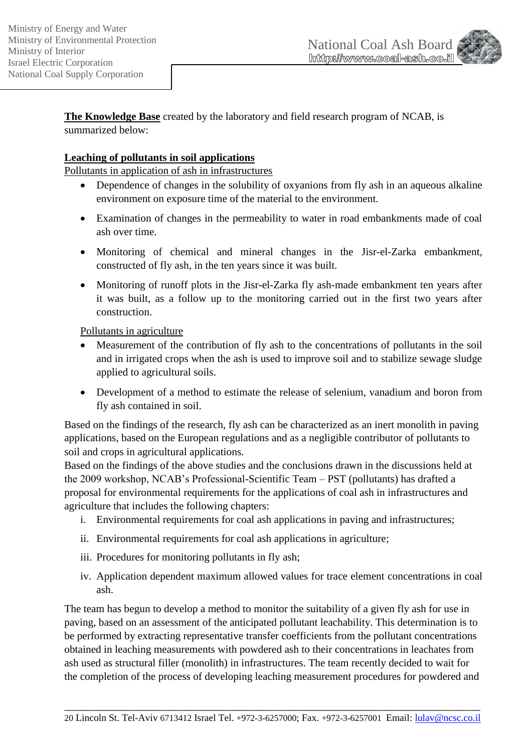

**The Knowledge Base** created by the laboratory and field research program of NCAB, is summarized below:

## **Leaching of pollutants in soil applications**

Pollutants in application of ash in infrastructures

- Dependence of changes in the solubility of oxyanions from fly ash in an aqueous alkaline environment on exposure time of the material to the environment.
- Examination of changes in the permeability to water in road embankments made of coal ash over time.
- Monitoring of chemical and mineral changes in the Jisr-el-Zarka embankment, constructed of fly ash, in the ten years since it was built.
- Monitoring of runoff plots in the Jisr-el-Zarka fly ash-made embankment ten years after it was built, as a follow up to the monitoring carried out in the first two years after construction.

Pollutants in agriculture

- Measurement of the contribution of fly ash to the concentrations of pollutants in the soil and in irrigated crops when the ash is used to improve soil and to stabilize sewage sludge applied to agricultural soils.
- Development of a method to estimate the release of selenium, vanadium and boron from fly ash contained in soil.

Based on the findings of the research, fly ash can be characterized as an inert monolith in paving applications, based on the European regulations and as a negligible contributor of pollutants to soil and crops in agricultural applications.

Based on the findings of the above studies and the conclusions drawn in the discussions held at the 2009 workshop, NCAB's Professional-Scientific Team – PST (pollutants) has drafted a proposal for environmental requirements for the applications of coal ash in infrastructures and agriculture that includes the following chapters:

- i. Environmental requirements for coal ash applications in paving and infrastructures;
- ii. Environmental requirements for coal ash applications in agriculture;
- iii. Procedures for monitoring pollutants in fly ash;
- iv. Application dependent maximum allowed values for trace element concentrations in coal ash.

The team has begun to develop a method to monitor the suitability of a given fly ash for use in paving, based on an assessment of the anticipated pollutant leachability. This determination is to be performed by extracting representative transfer coefficients from the pollutant concentrations obtained in leaching measurements with powdered ash to their concentrations in leachates from ash used as structural filler (monolith) in infrastructures. The team recently decided to wait for the completion of the process of developing leaching measurement procedures for powdered and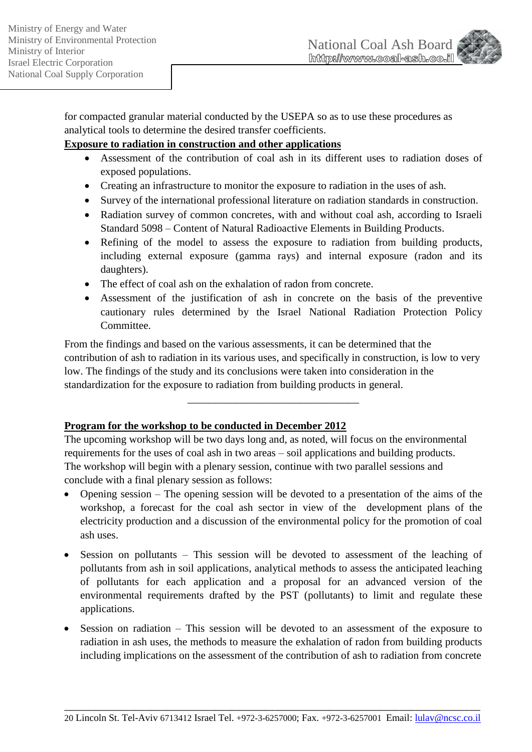

for compacted granular material conducted by the USEPA so as to use these procedures as analytical tools to determine the desired transfer coefficients.

## **Exposure to radiation in construction and other applications**

- Assessment of the contribution of coal ash in its different uses to radiation doses of exposed populations.
- Creating an infrastructure to monitor the exposure to radiation in the uses of ash.
- Survey of the international professional literature on radiation standards in construction.
- Radiation survey of common concretes, with and without coal ash, according to Israeli Standard 5098 – Content of Natural Radioactive Elements in Building Products.
- Refining of the model to assess the exposure to radiation from building products, including external exposure (gamma rays) and internal exposure (radon and its daughters).
- The effect of coal ash on the exhalation of radon from concrete.
- Assessment of the justification of ash in concrete on the basis of the preventive cautionary rules determined by the Israel National Radiation Protection Policy Committee.

From the findings and based on the various assessments, it can be determined that the contribution of ash to radiation in its various uses, and specifically in construction, is low to very low. The findings of the study and its conclusions were taken into consideration in the standardization for the exposure to radiation from building products in general.

\_\_\_\_\_\_\_\_\_\_\_\_\_\_\_\_\_\_\_\_\_\_\_\_\_\_\_\_\_\_\_\_

# **Program for the workshop to be conducted in December 2012**

The upcoming workshop will be two days long and, as noted, will focus on the environmental requirements for the uses of coal ash in two areas – soil applications and building products. The workshop will begin with a plenary session, continue with two parallel sessions and conclude with a final plenary session as follows:

- Opening session The opening session will be devoted to a presentation of the aims of the workshop, a forecast for the coal ash sector in view of the development plans of the electricity production and a discussion of the environmental policy for the promotion of coal ash uses.
- Session on pollutants This session will be devoted to assessment of the leaching of pollutants from ash in soil applications, analytical methods to assess the anticipated leaching of pollutants for each application and a proposal for an advanced version of the environmental requirements drafted by the PST (pollutants) to limit and regulate these applications.
- Session on radiation This session will be devoted to an assessment of the exposure to radiation in ash uses, the methods to measure the exhalation of radon from building products including implications on the assessment of the contribution of ash to radiation from concrete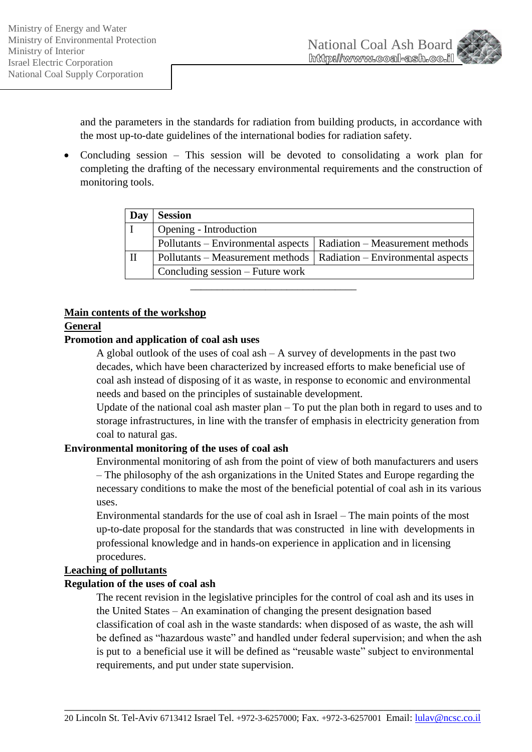

and the parameters in the standards for radiation from building products, in accordance with the most up-to-date guidelines of the international bodies for radiation safety.

 Concluding session – This session will be devoted to consolidating a work plan for completing the drafting of the necessary environmental requirements and the construction of monitoring tools.

| Day | <b>Session</b>                                                       |  |
|-----|----------------------------------------------------------------------|--|
|     | Opening - Introduction                                               |  |
|     | Pollutants – Environmental aspects   Radiation – Measurement methods |  |
| П   | Pollutants – Measurement methods   Radiation – Environmental aspects |  |
|     | Concluding session – Future work                                     |  |
|     |                                                                      |  |

#### **Main contents of the workshop**

#### **General**

#### **Promotion and application of coal ash uses**

A global outlook of the uses of coal ash – A survey of developments in the past two decades, which have been characterized by increased efforts to make beneficial use of coal ash instead of disposing of it as waste, in response to economic and environmental needs and based on the principles of sustainable development.

Update of the national coal ash master plan – To put the plan both in regard to uses and to storage infrastructures, in line with the transfer of emphasis in electricity generation from coal to natural gas.

## **Environmental monitoring of the uses of coal ash**

Environmental monitoring of ash from the point of view of both manufacturers and users – The philosophy of the ash organizations in the United States and Europe regarding the necessary conditions to make the most of the beneficial potential of coal ash in its various uses.

Environmental standards for the use of coal ash in Israel – The main points of the most up-to-date proposal for the standards that was constructed in line with developments in professional knowledge and in hands-on experience in application and in licensing procedures.

## **Leaching of pollutants**

## **Regulation of the uses of coal ash**

The recent revision in the legislative principles for the control of coal ash and its uses in the United States – An examination of changing the present designation based classification of coal ash in the waste standards: when disposed of as waste, the ash will be defined as "hazardous waste" and handled under federal supervision; and when the ash is put to a beneficial use it will be defined as "reusable waste" subject to environmental requirements, and put under state supervision.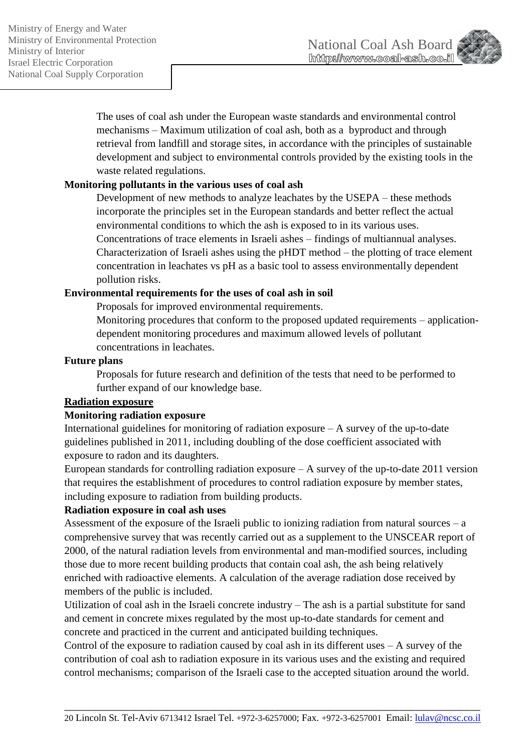

The uses of coal ash under the European waste standards and environmental control mechanisms – Maximum utilization of coal ash, both as a byproduct and through retrieval from landfill and storage sites, in accordance with the principles of sustainable development and subject to environmental controls provided by the existing tools in the waste related regulations.

## **Monitoring pollutants in the various uses of coal ash**

Development of new methods to analyze leachates by the USEPA – these methods incorporate the principles set in the European standards and better reflect the actual environmental conditions to which the ash is exposed to in its various uses. Concentrations of trace elements in Israeli ashes – findings of multiannual analyses. Characterization of Israeli ashes using the pHDT method – the plotting of trace element concentration in leachates vs pH as a basic tool to assess environmentally dependent pollution risks.

## **Environmental requirements for the uses of coal ash in soil**

Proposals for improved environmental requirements.

Monitoring procedures that conform to the proposed updated requirements – applicationdependent monitoring procedures and maximum allowed levels of pollutant concentrations in leachates.

#### **Future plans**

Proposals for future research and definition of the tests that need to be performed to further expand of our knowledge base.

#### **Radiation exposure**

#### **Monitoring radiation exposure**

International guidelines for monitoring of radiation exposure – A survey of the up-to-date guidelines published in 2011, including doubling of the dose coefficient associated with exposure to radon and its daughters.

European standards for controlling radiation exposure  $-A$  survey of the up-to-date 2011 version that requires the establishment of procedures to control radiation exposure by member states, including exposure to radiation from building products.

## **Radiation exposure in coal ash uses**

Assessment of the exposure of the Israeli public to ionizing radiation from natural sources  $-a$ comprehensive survey that was recently carried out as a supplement to the UNSCEAR report of 2000, of the natural radiation levels from environmental and man-modified sources, including those due to more recent building products that contain coal ash, the ash being relatively enriched with radioactive elements. A calculation of the average radiation dose received by members of the public is included.

Utilization of coal ash in the Israeli concrete industry – The ash is a partial substitute for sand and cement in concrete mixes regulated by the most up-to-date standards for cement and concrete and practiced in the current and anticipated building techniques.

Control of the exposure to radiation caused by coal ash in its different uses – A survey of the contribution of coal ash to radiation exposure in its various uses and the existing and required control mechanisms; comparison of the Israeli case to the accepted situation around the world.